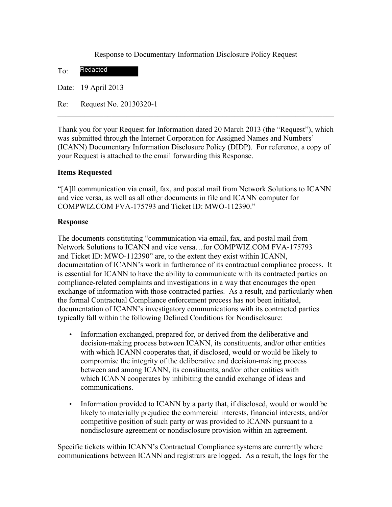Response to Documentary Information Disclosure Policy Request

To: Redacted

Date: 19 April 2013

Re: Request No. 20130320-1

Thank you for your Request for Information dated 20 March 2013 (the "Request"), which was submitted through the Internet Corporation for Assigned Names and Numbers' (ICANN) Documentary Information Disclosure Policy (DIDP). For reference, a copy of your Request is attached to the email forwarding this Response.

 $\mathcal{L}_\text{max} = \mathcal{L}_\text{max} = \mathcal{L}_\text{max} = \mathcal{L}_\text{max} = \mathcal{L}_\text{max} = \mathcal{L}_\text{max} = \mathcal{L}_\text{max} = \mathcal{L}_\text{max} = \mathcal{L}_\text{max} = \mathcal{L}_\text{max} = \mathcal{L}_\text{max} = \mathcal{L}_\text{max} = \mathcal{L}_\text{max} = \mathcal{L}_\text{max} = \mathcal{L}_\text{max} = \mathcal{L}_\text{max} = \mathcal{L}_\text{max} = \mathcal{L}_\text{max} = \mathcal{$ 

## **Items Requested**

"[A]ll communication via email, fax, and postal mail from Network Solutions to ICANN and vice versa, as well as all other documents in file and ICANN computer for COMPWIZ.COM FVA-175793 and Ticket ID: MWO-112390."

## **Response**

The documents constituting "communication via email, fax, and postal mail from Network Solutions to ICANN and vice versa…for COMPWIZ.COM FVA-175793 and Ticket ID: MWO-112390" are, to the extent they exist within ICANN, documentation of ICANN's work in furtherance of its contractual compliance process. It is essential for ICANN to have the ability to communicate with its contracted parties on compliance-related complaints and investigations in a way that encourages the open exchange of information with those contracted parties. As a result, and particularly when the formal Contractual Compliance enforcement process has not been initiated, documentation of ICANN's investigatory communications with its contracted parties typically fall within the following Defined Conditions for Nondisclosure:

- Information exchanged, prepared for, or derived from the deliberative and decision-making process between ICANN, its constituents, and/or other entities with which ICANN cooperates that, if disclosed, would or would be likely to compromise the integrity of the deliberative and decision-making process between and among ICANN, its constituents, and/or other entities with which ICANN cooperates by inhibiting the candid exchange of ideas and communications.
- Information provided to ICANN by a party that, if disclosed, would or would be likely to materially prejudice the commercial interests, financial interests, and/or competitive position of such party or was provided to ICANN pursuant to a nondisclosure agreement or nondisclosure provision within an agreement.

Specific tickets within ICANN's Contractual Compliance systems are currently where communications between ICANN and registrars are logged. As a result, the logs for the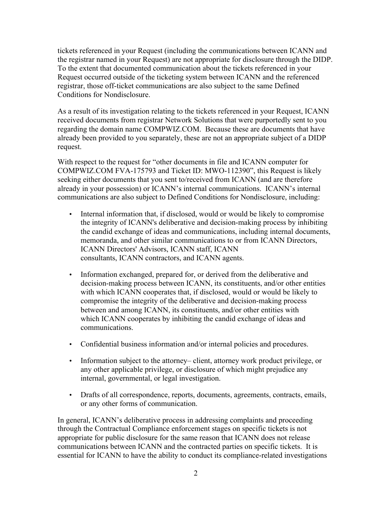tickets referenced in your Request (including the communications between ICANN and the registrar named in your Request) are not appropriate for disclosure through the DIDP. To the extent that documented communication about the tickets referenced in your Request occurred outside of the ticketing system between ICANN and the referenced registrar, those off-ticket communications are also subject to the same Defined Conditions for Nondisclosure.

As a result of its investigation relating to the tickets referenced in your Request, ICANN received documents from registrar Network Solutions that were purportedly sent to you regarding the domain name COMPWIZ.COM. Because these are documents that have already been provided to you separately, these are not an appropriate subject of a DIDP request.

With respect to the request for "other documents in file and ICANN computer for COMPWIZ.COM FVA-175793 and Ticket ID: MWO-112390", this Request is likely seeking either documents that you sent to/received from ICANN (and are therefore already in your possession) or ICANN's internal communications. ICANN's internal communications are also subject to Defined Conditions for Nondisclosure, including:

- Internal information that, if disclosed, would or would be likely to compromise the integrity of ICANN's deliberative and decision-making process by inhibiting the candid exchange of ideas and communications, including internal documents, memoranda, and other similar communications to or from ICANN Directors, ICANN Directors' Advisors, ICANN staff, ICANN consultants, ICANN contractors, and ICANN agents.
- Information exchanged, prepared for, or derived from the deliberative and decision-making process between ICANN, its constituents, and/or other entities with which ICANN cooperates that, if disclosed, would or would be likely to compromise the integrity of the deliberative and decision-making process between and among ICANN, its constituents, and/or other entities with which ICANN cooperates by inhibiting the candid exchange of ideas and communications.
- Confidential business information and/or internal policies and procedures.
- Information subject to the attorney– client, attorney work product privilege, or any other applicable privilege, or disclosure of which might prejudice any internal, governmental, or legal investigation.
- Drafts of all correspondence, reports, documents, agreements, contracts, emails, or any other forms of communication.

In general, ICANN's deliberative process in addressing complaints and proceeding through the Contractual Compliance enforcement stages on specific tickets is not appropriate for public disclosure for the same reason that ICANN does not release communications between ICANN and the contracted parties on specific tickets. It is essential for ICANN to have the ability to conduct its compliance-related investigations